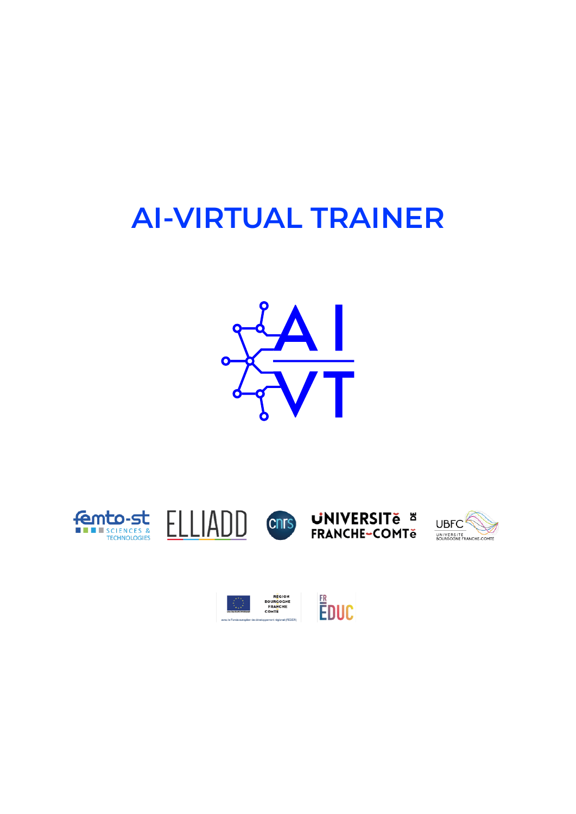# **AI-VIRTUAL TRAINER**













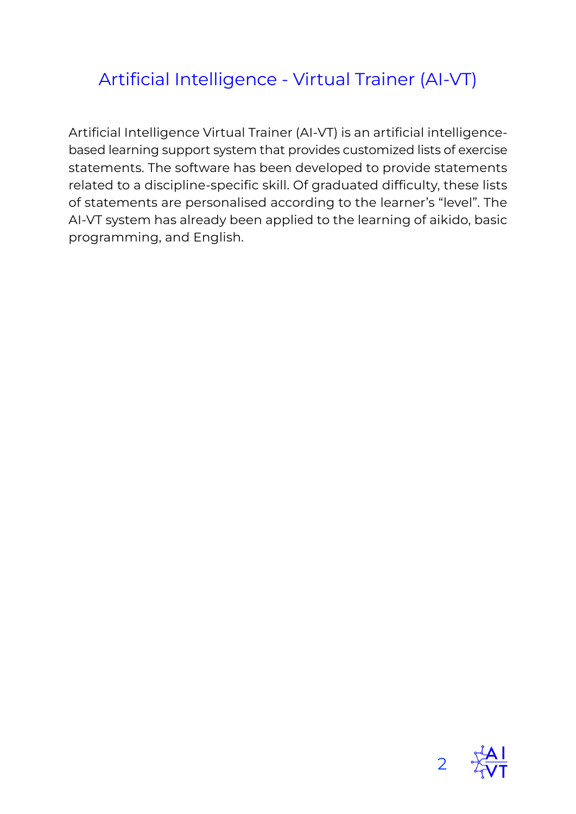## Artificial Intelligence - Virtual Trainer (AI-VT)

Artificial Intelligence Virtual Trainer (AI-VT) is an artificial intelligencebased learning support system that provides customized lists of exercise statements. The software has been developed to provide statements related to a discipline-specific skill. Of graduated difficulty, these lists of statements are personalised according to the learner's "level". The AI-VT system has already been applied to the learning of aikido, basic programming, and English.

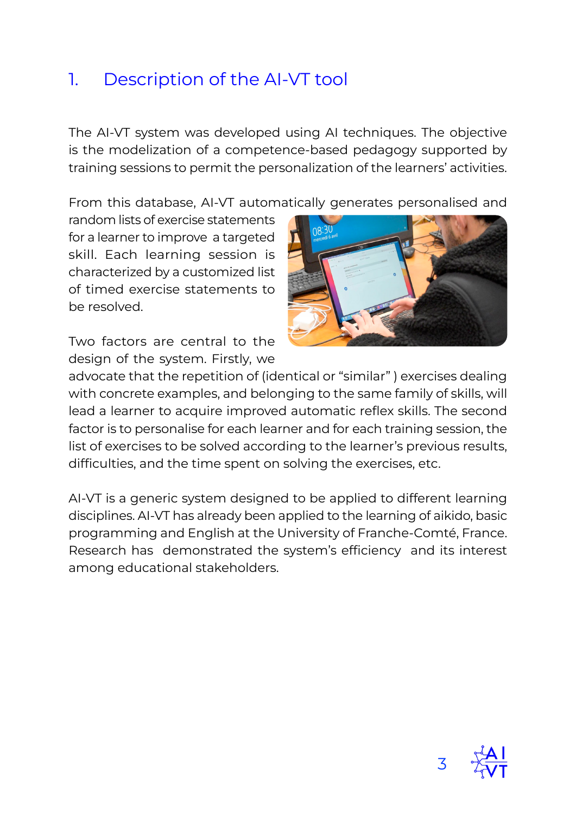#### 1. Description of the AI-VT tool

The AI-VT system was developed using AI techniques. The objective is the modelization of a competence-based pedagogy supported by training sessions to permit the personalization of the learners' activities.

From this database, AI-VT automatically generates personalised and

random lists of exercise statements for a learner to improve a targeted skill. Each learning session is characterized by a customized list of timed exercise statements to be resolved.



Two factors are central to the design of the system. Firstly, we

advocate that the repetition of (identical or "similar" ) exercises dealing with concrete examples, and belonging to the same family of skills, will lead a learner to acquire improved automatic reflex skills. The second factor is to personalise for each learner and for each training session, the list of exercises to be solved according to the learner's previous results, difficulties, and the time spent on solving the exercises, etc.

AI-VT is a generic system designed to be applied to different learning disciplines. AI-VT has already been applied to the learning of aikido, basic programming and English at the University of Franche-Comté, France. Research has demonstrated the system's efficiency and its interest among educational stakeholders.

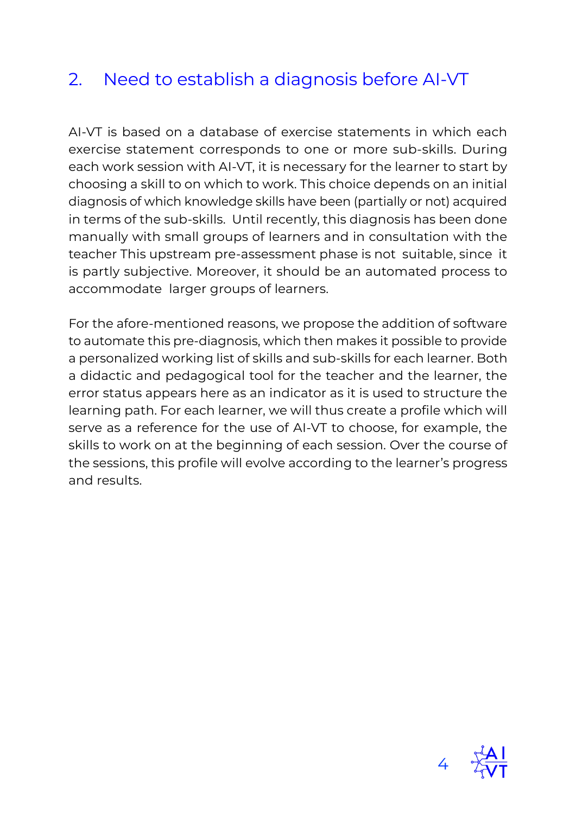## 2. Need to establish a diagnosis before AI-VT

AI-VT is based on a database of exercise statements in which each exercise statement corresponds to one or more sub-skills. During each work session with AI-VT, it is necessary for the learner to start by choosing a skill to on which to work. This choice depends on an initial diagnosis of which knowledge skills have been (partially or not) acquired in terms of the sub-skills. Until recently, this diagnosis has been done manually with small groups of learners and in consultation with the teacher This upstream pre-assessment phase is not suitable, since it is partly subjective. Moreover, it should be an automated process to accommodate larger groups of learners.

For the afore-mentioned reasons, we propose the addition of software to automate this pre-diagnosis, which then makes it possible to provide a personalized working list of skills and sub-skills for each learner. Both a didactic and pedagogical tool for the teacher and the learner, the error status appears here as an indicator as it is used to structure the learning path. For each learner, we will thus create a profile which will serve as a reference for the use of AI-VT to choose, for example, the skills to work on at the beginning of each session. Over the course of the sessions, this profile will evolve according to the learner's progress and results.